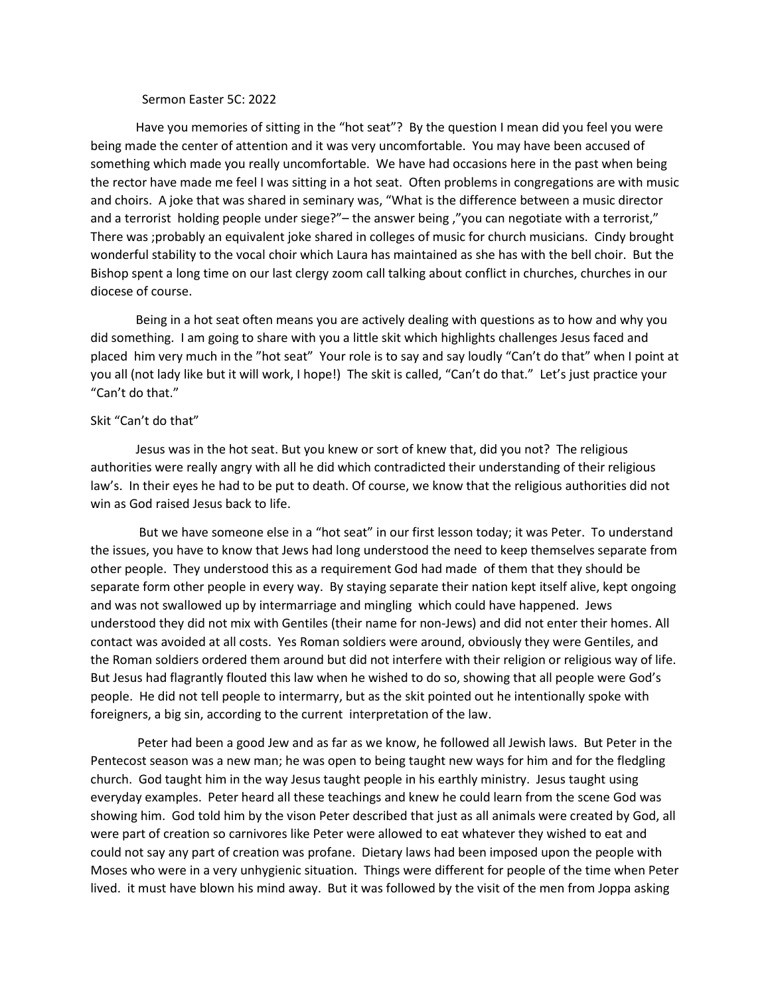## Sermon Easter 5C: 2022

Have you memories of sitting in the "hot seat"? By the question I mean did you feel you were being made the center of attention and it was very uncomfortable. You may have been accused of something which made you really uncomfortable. We have had occasions here in the past when being the rector have made me feel I was sitting in a hot seat. Often problems in congregations are with music and choirs. A joke that was shared in seminary was, "What is the difference between a music director and a terrorist holding people under siege?"– the answer being ,"you can negotiate with a terrorist," There was ;probably an equivalent joke shared in colleges of music for church musicians. Cindy brought wonderful stability to the vocal choir which Laura has maintained as she has with the bell choir. But the Bishop spent a long time on our last clergy zoom call talking about conflict in churches, churches in our diocese of course.

Being in a hot seat often means you are actively dealing with questions as to how and why you did something. I am going to share with you a little skit which highlights challenges Jesus faced and placed him very much in the "hot seat" Your role is to say and say loudly "Can't do that" when I point at you all (not lady like but it will work, I hope!) The skit is called, "Can't do that." Let's just practice your "Can't do that."

## Skit "Can't do that"

Jesus was in the hot seat. But you knew or sort of knew that, did you not? The religious authorities were really angry with all he did which contradicted their understanding of their religious law's. In their eyes he had to be put to death. Of course, we know that the religious authorities did not win as God raised Jesus back to life.

But we have someone else in a "hot seat" in our first lesson today; it was Peter. To understand the issues, you have to know that Jews had long understood the need to keep themselves separate from other people. They understood this as a requirement God had made of them that they should be separate form other people in every way. By staying separate their nation kept itself alive, kept ongoing and was not swallowed up by intermarriage and mingling which could have happened. Jews understood they did not mix with Gentiles (their name for non-Jews) and did not enter their homes. All contact was avoided at all costs. Yes Roman soldiers were around, obviously they were Gentiles, and the Roman soldiers ordered them around but did not interfere with their religion or religious way of life. But Jesus had flagrantly flouted this law when he wished to do so, showing that all people were God's people. He did not tell people to intermarry, but as the skit pointed out he intentionally spoke with foreigners, a big sin, according to the current interpretation of the law.

 Peter had been a good Jew and as far as we know, he followed all Jewish laws. But Peter in the Pentecost season was a new man; he was open to being taught new ways for him and for the fledgling church. God taught him in the way Jesus taught people in his earthly ministry. Jesus taught using everyday examples. Peter heard all these teachings and knew he could learn from the scene God was showing him. God told him by the vison Peter described that just as all animals were created by God, all were part of creation so carnivores like Peter were allowed to eat whatever they wished to eat and could not say any part of creation was profane. Dietary laws had been imposed upon the people with Moses who were in a very unhygienic situation. Things were different for people of the time when Peter lived. it must have blown his mind away. But it was followed by the visit of the men from Joppa asking